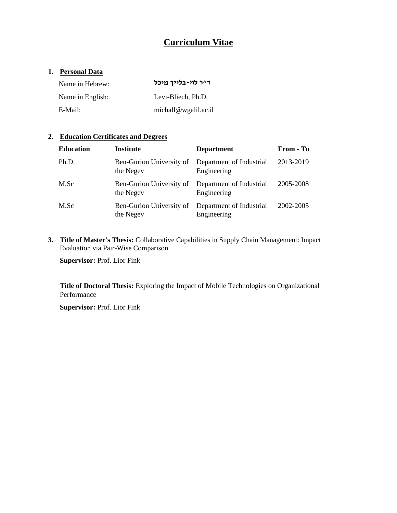# **Curriculum Vitae**

# **1. Personal Data**

| Name in Hebrew:  | ד״ר לוי-בלייך מיכל   |
|------------------|----------------------|
| Name in English: | Levi-Bliech, Ph.D.   |
| E-Mail:          | michall@wgalil.ac.il |

# **2. Education Certificates and Degrees**

| <b>Education</b> | <b>Institute</b>                      | <b>Department</b>                       | From - To |
|------------------|---------------------------------------|-----------------------------------------|-----------|
| Ph.D.            | Ben-Gurion University of<br>the Negev | Department of Industrial<br>Engineering | 2013-2019 |
| M.Sc             | Ben-Gurion University of<br>the Negev | Department of Industrial<br>Engineering | 2005-2008 |
| M.Sc             | Ben-Gurion University of<br>the Negev | Department of Industrial<br>Engineering | 2002-2005 |

**3. Title of Master's Thesis:** Collaborative Capabilities in Supply Chain Management: Impact Evaluation via Pair-Wise Comparison

**Supervisor:** Prof. Lior Fink

**Title of Doctoral Thesis:** Exploring the Impact of Mobile Technologies on Organizational Performance

**Supervisor:** Prof. Lior Fink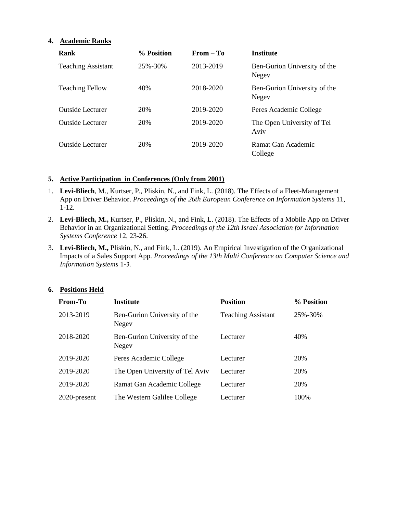## **4. Academic Ranks**

| <b>Rank</b>               | % Position | $From - To$ | <b>Institute</b>                      |
|---------------------------|------------|-------------|---------------------------------------|
| <b>Teaching Assistant</b> | 25%-30%    | 2013-2019   | Ben-Gurion University of the<br>Negev |
| <b>Teaching Fellow</b>    | 40%        | 2018-2020   | Ben-Gurion University of the<br>Negev |
| <b>Outside Lecturer</b>   | 20%        | 2019-2020   | Peres Academic College                |
| <b>Outside Lecturer</b>   | 20%        | 2019-2020   | The Open University of Tel<br>Aviv    |
| <b>Outside Lecturer</b>   | 20%        | 2019-2020   | Ramat Gan Academic<br>College         |

## **5. Active Participation in Conferences (Only from 2001)**

- 1. **Levi-Bliech**, M., Kurtser, P., Pliskin, N., and Fink, L. (2018). The Effects of a Fleet-Management App on Driver Behavior. *Proceedings of the 26th European Conference on Information Systems* 11, 1-12.
- 2. **Levi-Bliech, M.,** Kurtser, P., Pliskin, N., and Fink, L. (2018). The Effects of a Mobile App on Driver Behavior in an Organizational Setting. *Proceedings of the 12th Israel Association for Information Systems Conference* 12, 23-26.
- 3. **Levi-Bliech, M.,** Pliskin, N., and Fink, L. (2019). An Empirical Investigation of the Organizational Impacts of a Sales Support App. *Proceedings of the 13th Multi Conference on Computer Science and Information Systems* 1-3*.*

| From-To      | <b>Institute</b>                      | <b>Position</b>           | % Position |
|--------------|---------------------------------------|---------------------------|------------|
| 2013-2019    | Ben-Gurion University of the<br>Negev | <b>Teaching Assistant</b> | 25%-30%    |
| 2018-2020    | Ben-Gurion University of the<br>Negev | Lecturer                  | 40%        |
| 2019-2020    | Peres Academic College                | Lecturer                  | 20%        |
| 2019-2020    | The Open University of Tel Aviv       | Lecturer                  | 20%        |
| 2019-2020    | Ramat Gan Academic College            | Lecturer                  | 20%        |
| 2020-present | The Western Galilee College           | Lecturer                  | 100\%      |

#### **6. Positions Held**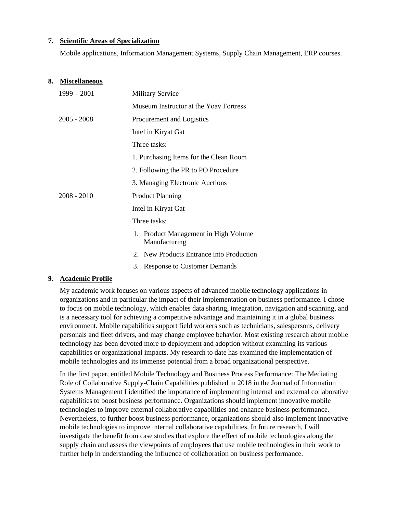## **7. Scientific Areas of Specialization**

Mobile applications, Information Management Systems, Supply Chain Management, ERP courses.

#### **8. Miscellaneous**

| $1999 - 2001$ | <b>Military Service</b>                               |
|---------------|-------------------------------------------------------|
|               | Museum Instructor at the Yoay Fortress                |
| $2005 - 2008$ | Procurement and Logistics                             |
|               | Intel in Kiryat Gat                                   |
|               | Three tasks:                                          |
|               | 1. Purchasing Items for the Clean Room                |
|               | 2. Following the PR to PO Procedure                   |
|               | 3. Managing Electronic Auctions                       |
| $2008 - 2010$ | <b>Product Planning</b>                               |
|               | Intel in Kiryat Gat                                   |
|               | Three tasks:                                          |
|               | 1. Product Management in High Volume<br>Manufacturing |
|               | 2. New Products Entrance into Production              |
|               |                                                       |

3. Response to Customer Demands

### **9. Academic Profile**

My academic work focuses on various aspects of advanced mobile technology applications in organizations and in particular the impact of their implementation on business performance. I chose to focus on mobile technology, which enables data sharing, integration, navigation and scanning, and is a necessary tool for achieving a competitive advantage and maintaining it in a global business environment. Mobile capabilities support field workers such as technicians, salespersons, delivery personals and fleet drivers, and may change employee behavior. Most existing research about mobile technology has been devoted more to deployment and adoption without examining its various capabilities or organizational impacts. My research to date has examined the implementation of mobile technologies and its immense potential from a broad organizational perspective.

In the first paper, entitled Mobile Technology and Business Process Performance: The Mediating Role of Collaborative Supply-Chain Capabilities published in 2018 in the Journal of Information Systems Management I identified the importance of implementing internal and external collaborative capabilities to boost business performance. Organizations should implement innovative mobile technologies to improve external collaborative capabilities and enhance business performance. Nevertheless, to further boost business performance, organizations should also implement innovative mobile technologies to improve internal collaborative capabilities. In future research, I will investigate the benefit from case studies that explore the effect of mobile technologies along the supply chain and assess the viewpoints of employees that use mobile technologies in their work to further help in understanding the influence of collaboration on business performance.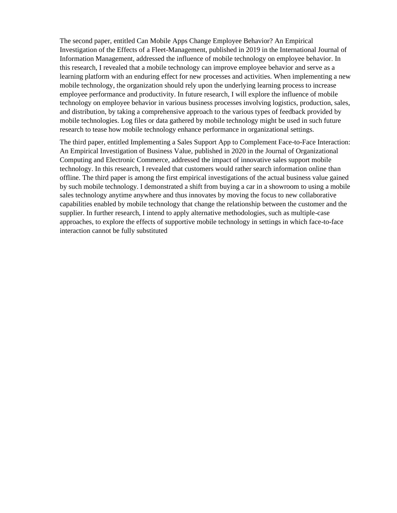The second paper, entitled Can Mobile Apps Change Employee Behavior? An Empirical Investigation of the Effects of a Fleet-Management, published in 2019 in the International Journal of Information Management, addressed the influence of mobile technology on employee behavior. In this research, I revealed that a mobile technology can improve employee behavior and serve as a learning platform with an enduring effect for new processes and activities. When implementing a new mobile technology, the organization should rely upon the underlying learning process to increase employee performance and productivity. In future research, I will explore the influence of mobile technology on employee behavior in various business processes involving logistics, production, sales, and distribution, by taking a comprehensive approach to the various types of feedback provided by mobile technologies. Log files or data gathered by mobile technology might be used in such future research to tease how mobile technology enhance performance in organizational settings.

The third paper, entitled Implementing a Sales Support App to Complement Face-to-Face Interaction: An Empirical Investigation of Business Value, published in 2020 in the Journal of Organizational Computing and Electronic Commerce, addressed the impact of innovative sales support mobile technology. In this research, I revealed that customers would rather search information online than offline. The third paper is among the first empirical investigations of the actual business value gained by such mobile technology. I demonstrated a shift from buying a car in a showroom to using a mobile sales technology anytime anywhere and thus innovates by moving the focus to new collaborative capabilities enabled by mobile technology that change the relationship between the customer and the supplier. In further research, I intend to apply alternative methodologies, such as multiple-case approaches, to explore the effects of supportive mobile technology in settings in which face-to-face interaction cannot be fully substituted